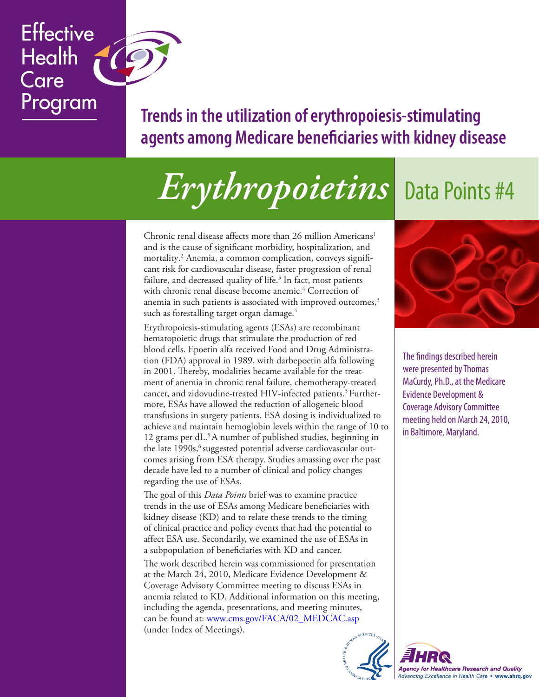# **Trends in the utilization of erythropoiesis-stimulating agents among Medicare beneficiaries with kidney disease**

# *Erythropoietins* Data Points #4

Chronic renal disease affects more than 26 million Americans<sup>1</sup> and is the cause of significant morbidity, hospitalization, and mortality. 2 Anemia, a common complication, conveys significant risk for cardiovascular disease, faster progression of renal failure, and decreased quality of life.<sup>3</sup> In fact, most patients with chronic renal disease become anemic. 4 Correction of anemia in such patients is associated with improved outcomes, $^3$ such as forestalling target organ damage. 4

**Effective** 

Program

**Health** 

Care

Erythropoiesis-stimulating agents (ESAs) are recombinant hematopoietic drugs that stimulate the production of red blood cells. Epoetin alfa received Food and Drug Administration (FDA) approval in 1989, with darbepoetin alfa following in 2001. Thereby, modalities became available for the treatment of anemia in chronic renal failure, chemotherapy-treated cancer, and zidovudine-treated HIV-infected patients. <sup>5</sup> Furthermore, ESAs have allowed the reduction of allogeneic blood transfusions in surgery patients. ESA dosing is individualized to achieve and maintain hemoglobin levels within the range of 10 to 12 grams per dL.<sup>5</sup>A number of published studies, beginning in the late 1990s, <sup>6</sup> suggested potential adverse cardiovascular outcomes arising from ESA therapy. Studies amassing over the past decade have led to a number of clinical and policy changes regarding the use of ESAs.

The goal of this *Data Points* brief was to examine practice trends in the use of ESAs among Medicare beneficiaries with kidney disease (KD) and to relate these trends to the timing of clinical practice and policy events that had the potential to affect ESA use. Secondarily, we examined the use of ESAs in a subpopulation of beneficiaries with KD and cancer. The work described herein was commissioned for presentation at the March 24, 2010, Medicare Evidence Development & Coverage Advisory Committee meeting to discuss ESAs in anemia related to KD. Additional information on this meeting, including the agenda, presentations, and meeting minutes, can be found at: [www.cms.gov/FACA/02\\_MEDCAC.asp](http://www.cms.gov/FACA/02_MEDCAC.asp) (under Index of Meetings).



The findings described herein were presented by Thomas MaCurdy, Ph.D., at the Medicare Evidence Development & Coverage Advisory Committee meeting held on March 24, 2010, in Baltimore, Maryland.



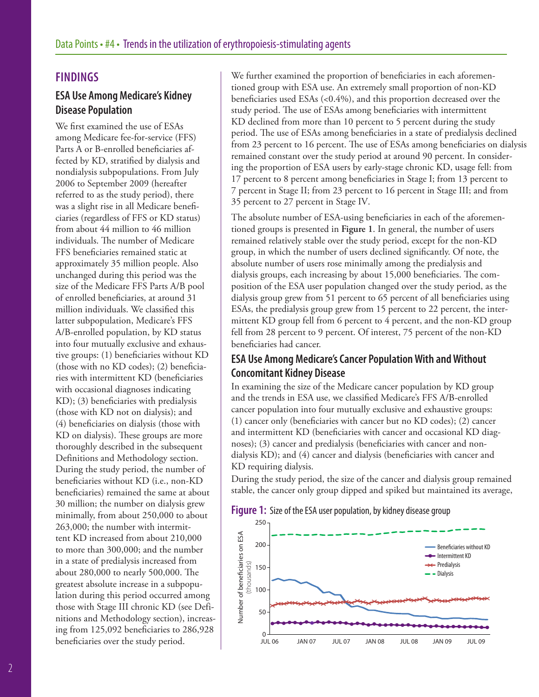#### **FINDINGS**

# **ESA Use Among Medicare's Kidney Disease Population**

We first examined the use of ESAs among Medicare fee-for-service (FFS) Parts A or B-enrolled beneficiaries affected by KD, stratified by dialysis and nondialysis subpopulations. From July 2006 to September 2009 (hereafter referred to as the study period), there was a slight rise in all Medicare beneficiaries (regardless of FFS or KD status) from about 44 million to 46 million individuals. The number of Medicare FFS beneficiaries remained static at approximately 35 million people. Also unchanged during this period was the size of the Medicare FFS Parts A/B pool of enrolled beneficiaries, at around 31 million individuals. We classified this latter subpopulation, Medicare's FFS A/B-enrolled population, by KD status into four mutually exclusive and exhaustive groups: (1) beneficiaries without KD (those with no KD codes); (2) beneficiaries with intermittent KD (beneficiaries with occasional diagnoses indicating KD); (3) beneficiaries with predialysis (those with KD not on dialysis); and (4) beneficiaries on dialysis (those with KD on dialysis). These groups are more thoroughly described in the subsequent Definitions and Methodology section. During the study period, the number of beneficiaries without KD (i.e., non-KD beneficiaries) remained the same at about 30 million; the number on dialysis grew minimally, from about 250,000 to about 263,000; the number with intermittent KD increased from about 210,000 to more than 300,000; and the number in a state of predialysis increased from about 280,000 to nearly 500,000. The greatest absolute increase in a subpopulation during this period occurred among those with Stage III chronic KD (see Definitions and Methodology section), increasing from 125,092 beneficiaries to 286,928 beneficiaries over the study period.

We further examined the proportion of beneficiaries in each aforementioned group with ESA use. An extremely small proportion of non-KD beneficiaries used ESAs (<0.4%), and this proportion decreased over the study period. The use of ESAs among beneficiaries with intermittent KD declined from more than 10 percent to 5 percent during the study period. The use of ESAs among beneficiaries in a state of predialysis declined from 23 percent to 16 percent. The use of ESAs among beneficiaries on dialysis remained constant over the study period at around 90 percent. In considering the proportion of ESA users by early-stage chronic KD, usage fell: from 17 percent to 8 percent among beneficiaries in Stage I; from 13 percent to 7 percent in Stage II; from 23 percent to 16 percent in Stage III; and from 35 percent to 27 percent in Stage IV.

The absolute number of ESA-using beneficiaries in each of the aforementioned groups is presented in **Figure 1**. In general, the number of users remained relatively stable over the study period, except for the non-KD group, in which the number of users declined significantly. Of note, the absolute number of users rose minimally among the predialysis and dialysis groups, each increasing by about 15,000 beneficiaries. The composition of the ESA user population changed over the study period, as the dialysis group grew from 51 percent to 65 percent of all beneficiaries using ESAs, the predialysis group grew from 15 percent to 22 percent, the intermittent KD group fell from 6 percent to 4 percent, and the non-KD group fell from 28 percent to 9 percent. Of interest, 75 percent of the non-KD beneficiaries had cancer.

# **ESA Use Among Medicare's Cancer Population With and Without Concomitant Kidney Disease**

In examining the size of the Medicare cancer population by KD group and the trends in ESA use, we classified Medicare's FFS A/B-enrolled cancer population into four mutually exclusive and exhaustive groups: (1) cancer only (beneficiaries with cancer but no KD codes); (2) cancer and intermittent KD (beneficiaries with cancer and occasional KD diagnoses); (3) cancer and predialysis (beneficiaries with cancer and nondialysis KD); and (4) cancer and dialysis (beneficiaries with cancer and KD requiring dialysis.

During the study period, the size of the cancer and dialysis group remained stable, the cancer only group dipped and spiked but maintained its average,

#### **Figure 1:** Size of the ESA user population, by kidney disease group

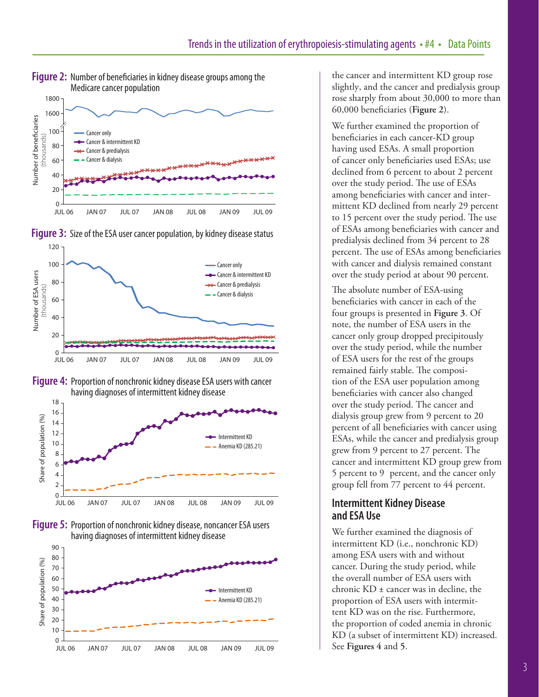











the cancer and intermittent KD group rose slightly, and the cancer and predialysis group rose sharply from about 30,000 to more than 60,000 beneficiaries (**Figure 2**).

We further examined the proportion of beneficiaries in each cancer-KD group having used ESAs. A small proportion of cancer only beneficiaries used ESAs; use declined from 6 percent to about 2 percent over the study period. The use of ESAs among beneficiaries with cancer and intermittent KD declined from nearly 29 percent to 15 percent over the study period. The use of ESAs among beneficiaries with cancer and predialysis declined from 34 percent to 28 percent. The use of ESAs among beneficiaries with cancer and dialysis remained constant over the study period at about 90 percent.

The absolute number of ESA-using beneficiaries with cancer in each of the four groups is presented in **Figure 3**. Of note, the number of ESA users in the cancer only group dropped precipitously over the study period, while the number of ESA users for the rest of the groups remained fairly stable. The composition of the ESA user population among beneficiaries with cancer also changed over the study period. The cancer and dialysis group grew from 9 percent to 20 percent of all beneficiaries with cancer using ESAs, while the cancer and predialysis group grew from 9 percent to 27 percent. The cancer and intermittent KD group grew from 5 percent to 9 percent, and the cancer only group fell from 77 percent to 44 percent.

#### **Intermittent Kidney Disease and ESA Use**

We further examined the diagnosis of intermittent KD (i.e., nonchronic KD) among ESA users with and without cancer. During the study period, while the overall number of ESA users with chronic KD ± cancer was in decline, the proportion of ESA users with intermittent KD was on the rise. Furthermore, the proportion of coded anemia in chronic KD (a subset of intermittent KD) increased. See **Figures 4** and **5**.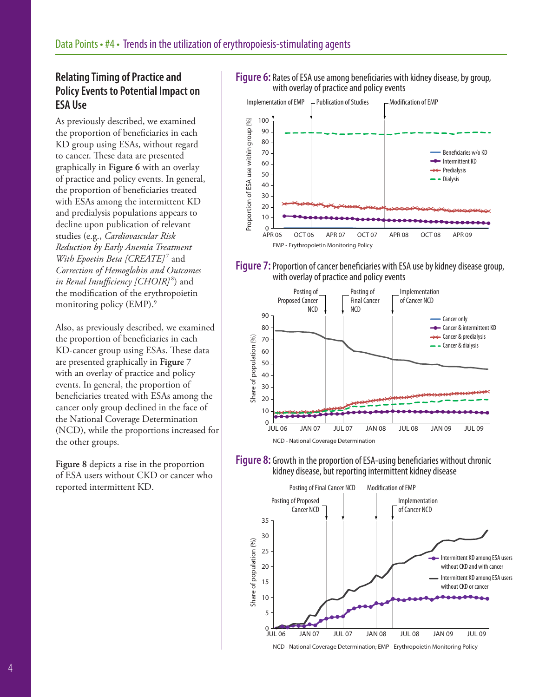# **Relating Timing of Practice and Policy Events to Potential Impact on ESA Use**

As previously described, we examined the proportion of beneficiaries in each KD group using ESAs, without regard to cancer. These data are presented graphically in **Figure 6** with an overlay of practice and policy events. In general, the proportion of beneficiaries treated with ESAs among the intermittent KD and predialysis populations appears to decline upon publication of relevant studies (e.g., *Cardiovascular Risk Reduction by Early Anemia Treatment With Epoetin Beta [CREATE]<sup>7</sup>* and *Correction of Hemoglobin and Outcomes in Renal Insufficiency [CHOIR]* <sup>8</sup> ) and the modification of the erythropoietin monitoring policy (EMP). 9

Also, as previously described, we examined the proportion of beneficiaries in each KD-cancer group using ESAs. These data are presented graphically in **Figure 7** with an overlay of practice and policy events. In general, the proportion of beneficiaries treated with ESAs among the cancer only group declined in the face of the National Coverage Determination (NCD), while the proportions increased for the other groups.

**Figure 8** depicts a rise in the proportion of ESA users without CKD or cancer who reported intermittent KD.

#### **Figure 6:** Rates of ESA use among beneficiaries with kidney disease, by group, with overlay of practice and policy events



#### **Figure 7:** Proportion of cancer beneficiaries with ESA use by kidney disease group, with overlay of practice and policy events







NCD - National Coverage Determination; EMP - Erythropoietin Monitoring Policy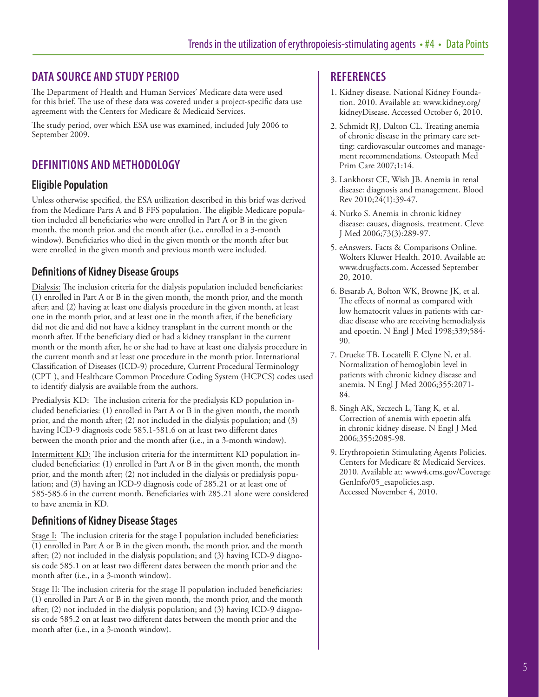## **DATA SOURCE AND STUDY PERIOD**

The Department of Health and Human Services' Medicare data were used for this brief. The use of these data was covered under a project-specific data use agreement with the Centers for Medicare & Medicaid Services.

The study period, over which ESA use was examined, included July 2006 to September 2009.

# **DEFINITIONS AND METHODOLOGY**

### **Eligible Population**

Unless otherwise specified, the ESA utilization described in this brief was derived from the Medicare Parts A and B FFS population. The eligible Medicare population included all beneficiaries who were enrolled in Part A or B in the given month, the month prior, and the month after (i.e., enrolled in a 3-month window). Beneficiaries who died in the given month or the month after but were enrolled in the given month and previous month were included.

### **Definitions of Kidney Disease Groups**

Dialysis: The inclusion criteria for the dialysis population included beneficiaries: (1) enrolled in Part A or B in the given month, the month prior, and the month after; and (2) having at least one dialysis procedure in the given month, at least one in the month prior, and at least one in the month after, if the beneficiary did not die and did not have a kidney transplant in the current month or the month after. If the beneficiary died or had a kidney transplant in the current month or the month after, he or she had to have at least one dialysis procedure in the current month and at least one procedure in the month prior. International Classification of Diseases (ICD-9) procedure, Current Procedural Terminology (CPT ), and Healthcare Common Procedure Coding System (HCPCS) codes used to identify dialysis are available from the authors.

Predialysis KD: The inclusion criteria for the predialysis KD population included beneficiaries: (1) enrolled in Part A or B in the given month, the month prior, and the month after; (2) not included in the dialysis population; and (3) having ICD-9 diagnosis code 585.1-581.6 on at least two different dates between the month prior and the month after (i.e., in a 3-month window).

Intermittent KD: The inclusion criteria for the intermittent KD population included beneficiaries: (1) enrolled in Part A or B in the given month, the month prior, and the month after; (2) not included in the dialysis or predialysis population; and (3) having an ICD-9 diagnosis code of 285.21 or at least one of 585-585.6 in the current month. Beneficiaries with 285.21 alone were considered to have anemia in KD.

#### **Definitions of Kidney Disease Stages**

Stage I: The inclusion criteria for the stage I population included beneficiaries: (1) enrolled in Part A or B in the given month, the month prior, and the month after; (2) not included in the dialysis population; and (3) having ICD-9 diagnosis code 585.1 on at least two different dates between the month prior and the month after (i.e., in a 3-month window).

Stage II: The inclusion criteria for the stage II population included beneficiaries: (1) enrolled in Part A or B in the given month, the month prior, and the month after; (2) not included in the dialysis population; and (3) having ICD-9 diagnosis code 585.2 on at least two different dates between the month prior and the month after (i.e., in a 3-month window).

#### **REFERENCES**

- 1. Kidney disease. National Kidney Foundation. 2010. Available at: www.kidney.org/ kidneyDisease. Accessed October 6, 2010.
- 2. Schmidt RJ, Dalton CL. Treating anemia of chronic disease in the primary care setting: cardiovascular outcomes and management recommendations. Osteopath Med Prim Care 2007;1:14.
- 3. Lankhorst CE, Wish JB. Anemia in renal disease: diagnosis and management. Blood Rev 2010;24(1):39-47.
- 4. Nurko S. Anemia in chronic kidney disease: causes, diagnosis, treatment. Cleve J Med 2006;73(3):289-97.
- 5. eAnswers. Facts & Comparisons Online. Wolters Kluwer Health. 2010. Available at: www.drugfacts.com. Accessed September 20, 2010.
- 6. Besarab A, Bolton WK, Browne JK, et al. The effects of normal as compared with low hematocrit values in patients with cardiac disease who are receiving hemodialysis and epoetin. N Engl J Med 1998;339;584- 90.
- 7. Drueke TB, Locatelli F, Clyne N, et al. Normalization of hemoglobin level in patients with chronic kidney disease and anemia. N Engl J Med 2006;355:2071- 84.
- 8. Singh AK, Szczech L, Tang K, et al. Correction of anemia with epoetin alfa in chronic kidney disease. N Engl J Med 2006;355::2085-98.
- 9. Erythropoietin Stimulating Agents Policies. Centers for Medicare & Medicaid Services. 2010. Available at: www4.cms.gov/Coverage GenInfo/05\_esapolicies.asp. Accessed November 4, 2010.